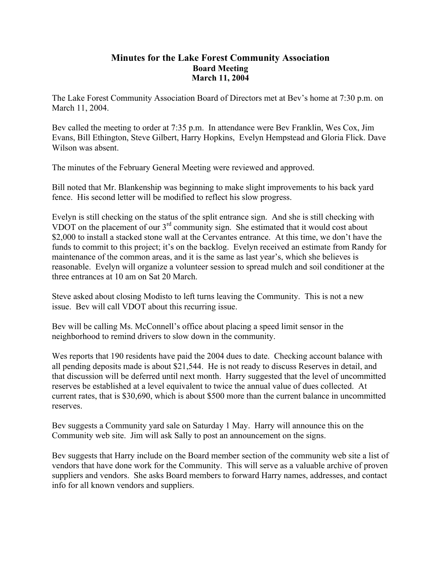## **Minutes for the Lake Forest Community Association Board Meeting March 11, 2004**

The Lake Forest Community Association Board of Directors met at Bev's home at 7:30 p.m. on March 11, 2004.

Bev called the meeting to order at 7:35 p.m. In attendance were Bev Franklin, Wes Cox, Jim Evans, Bill Ethington, Steve Gilbert, Harry Hopkins, Evelyn Hempstead and Gloria Flick. Dave Wilson was absent.

The minutes of the February General Meeting were reviewed and approved.

Bill noted that Mr. Blankenship was beginning to make slight improvements to his back yard fence. His second letter will be modified to reflect his slow progress.

Evelyn is still checking on the status of the split entrance sign. And she is still checking with VDOT on the placement of our 3<sup>rd</sup> community sign. She estimated that it would cost about \$2,000 to install a stacked stone wall at the Cervantes entrance. At this time, we don't have the funds to commit to this project; it's on the backlog. Evelyn received an estimate from Randy for maintenance of the common areas, and it is the same as last year's, which she believes is reasonable. Evelyn will organize a volunteer session to spread mulch and soil conditioner at the three entrances at 10 am on Sat 20 March.

Steve asked about closing Modisto to left turns leaving the Community. This is not a new issue. Bev will call VDOT about this recurring issue.

Bev will be calling Ms. McConnell's office about placing a speed limit sensor in the neighborhood to remind drivers to slow down in the community.

Wes reports that 190 residents have paid the 2004 dues to date. Checking account balance with all pending deposits made is about \$21,544. He is not ready to discuss Reserves in detail, and that discussion will be deferred until next month. Harry suggested that the level of uncommitted reserves be established at a level equivalent to twice the annual value of dues collected. At current rates, that is \$30,690, which is about \$500 more than the current balance in uncommitted reserves.

Bev suggests a Community yard sale on Saturday 1 May. Harry will announce this on the Community web site. Jim will ask Sally to post an announcement on the signs.

Bev suggests that Harry include on the Board member section of the community web site a list of vendors that have done work for the Community. This will serve as a valuable archive of proven suppliers and vendors. She asks Board members to forward Harry names, addresses, and contact info for all known vendors and suppliers.